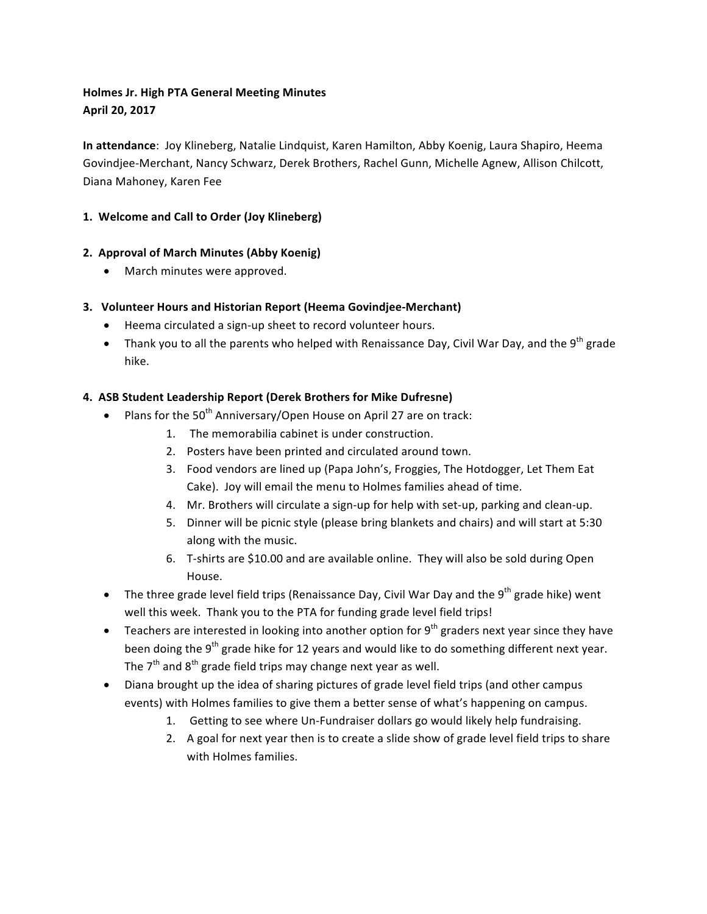# **Holmes Jr. High PTA General Meeting Minutes April 20, 2017**

**In attendance**: Joy Klineberg, Natalie Lindquist, Karen Hamilton, Abby Koenig, Laura Shapiro, Heema Govindjee-Merchant, Nancy Schwarz, Derek Brothers, Rachel Gunn, Michelle Agnew, Allison Chilcott, Diana Mahoney, Karen Fee

### 1. Welcome and Call to Order (Joy Klineberg)

### **2. Approval of March Minutes (Abby Koenig)**

March minutes were approved.

# **3. Volunteer Hours and Historian Report (Heema Govindjee-Merchant)**

- Heema circulated a sign-up sheet to record volunteer hours.
- Thank you to all the parents who helped with Renaissance Day, Civil War Day, and the 9<sup>th</sup> grade hike.

# **4. ASB Student Leadership Report (Derek Brothers for Mike Dufresne)**

- Plans for the  $50^{th}$  Anniversary/Open House on April 27 are on track:
	- 1. The memorabilia cabinet is under construction.
	- 2. Posters have been printed and circulated around town.
	- 3. Food vendors are lined up (Papa John's, Froggies, The Hotdogger, Let Them Eat Cake). Joy will email the menu to Holmes families ahead of time.
	- 4. Mr. Brothers will circulate a sign-up for help with set-up, parking and clean-up.
	- 5. Dinner will be picnic style (please bring blankets and chairs) and will start at 5:30 along with the music.
	- 6. T-shirts are \$10.00 and are available online. They will also be sold during Open House.
- The three grade level field trips (Renaissance Day, Civil War Day and the 9<sup>th</sup> grade hike) went well this week. Thank you to the PTA for funding grade level field trips!
- Teachers are interested in looking into another option for  $9<sup>th</sup>$  graders next year since they have been doing the  $9<sup>th</sup>$  grade hike for 12 years and would like to do something different next year. The  $7<sup>th</sup>$  and  $8<sup>th</sup>$  grade field trips may change next year as well.
- Diana brought up the idea of sharing pictures of grade level field trips (and other campus events) with Holmes families to give them a better sense of what's happening on campus.
	- 1. Getting to see where Un-Fundraiser dollars go would likely help fundraising.
	- 2. A goal for next year then is to create a slide show of grade level field trips to share with Holmes families.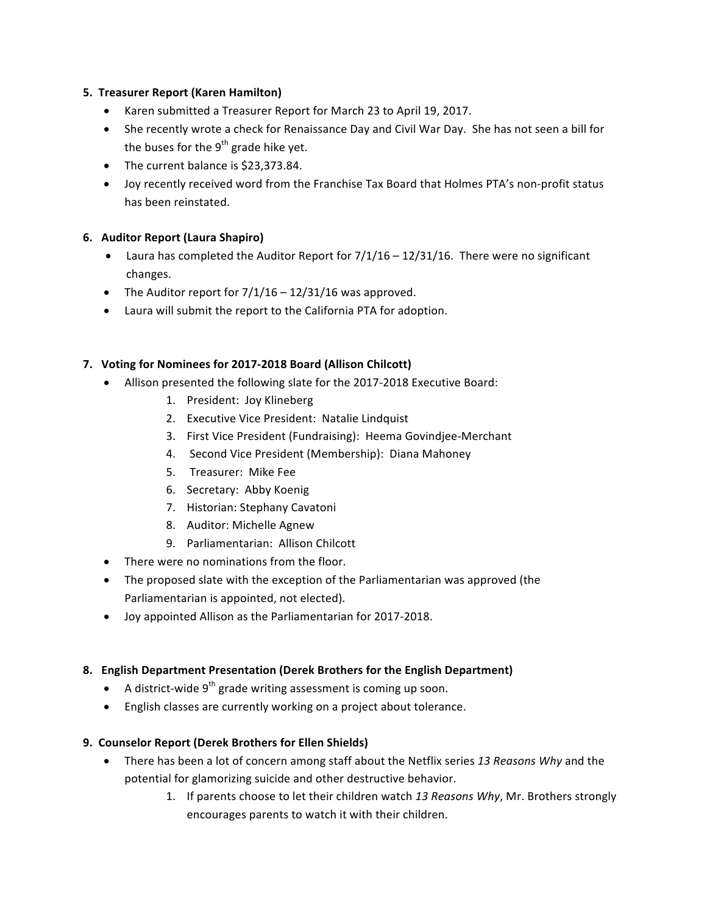#### **5. Treasurer Report (Karen Hamilton)**

- Karen submitted a Treasurer Report for March 23 to April 19, 2017.
- She recently wrote a check for Renaissance Day and Civil War Day. She has not seen a bill for the buses for the  $9<sup>th</sup>$  grade hike yet.
- The current balance is \$23,373.84.
- Joy recently received word from the Franchise Tax Board that Holmes PTA's non-profit status has been reinstated.

### **6. Auditor Report (Laura Shapiro)**

- Laura has completed the Auditor Report for  $7/1/16 12/31/16$ . There were no significant changes.
- The Auditor report for  $7/1/16 12/31/16$  was approved.
- Laura will submit the report to the California PTA for adoption.

### **7. Voting for Nominees for 2017-2018 Board (Allison Chilcott)**

- Allison presented the following slate for the 2017-2018 Executive Board:
	- 1. President: Joy Klineberg
	- 2. Executive Vice President: Natalie Lindquist
	- 3. First Vice President (Fundraising): Heema Govindjee-Merchant
	- 4. Second Vice President (Membership): Diana Mahoney
	- 5. Treasurer: Mike Fee
	- 6. Secretary: Abby Koenig
	- 7. Historian: Stephany Cavatoni
	- 8. Auditor: Michelle Agnew
	- 9. Parliamentarian: Allison Chilcott
- There were no nominations from the floor.
- The proposed slate with the exception of the Parliamentarian was approved (the Parliamentarian is appointed, not elected).
- Joy appointed Allison as the Parliamentarian for 2017-2018.

### **8.** English Department Presentation (Derek Brothers for the English Department)

- A district-wide  $9^{th}$  grade writing assessment is coming up soon.
- English classes are currently working on a project about tolerance.

### **9. Counselor Report (Derek Brothers for Ellen Shields)**

- There has been a lot of concern among staff about the Netflix series 13 Reasons Why and the potential for glamorizing suicide and other destructive behavior.
	- 1. If parents choose to let their children watch 13 Reasons Why, Mr. Brothers strongly encourages parents to watch it with their children.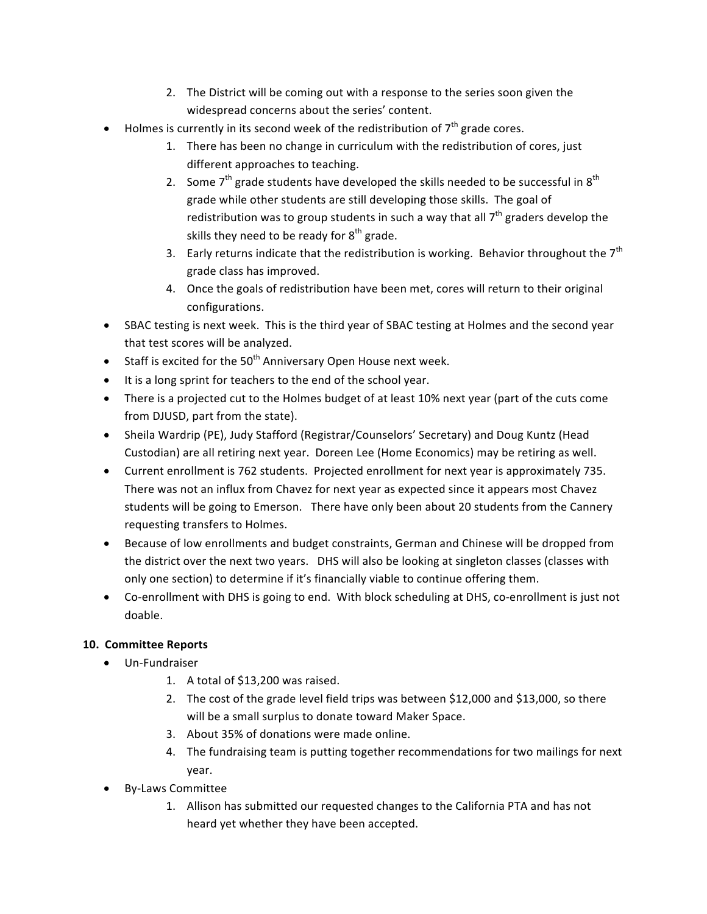- 2. The District will be coming out with a response to the series soon given the widespread concerns about the series' content.
- Holmes is currently in its second week of the redistribution of  $7<sup>th</sup>$  grade cores.
	- 1. There has been no change in curriculum with the redistribution of cores, just different approaches to teaching.
	- 2. Some  $7<sup>th</sup>$  grade students have developed the skills needed to be successful in  $8<sup>th</sup>$ grade while other students are still developing those skills. The goal of redistribution was to group students in such a way that all  $7<sup>th</sup>$  graders develop the skills they need to be ready for  $8^{th}$  grade.
	- 3. Early returns indicate that the redistribution is working. Behavior throughout the  $7<sup>th</sup>$ grade class has improved.
	- 4. Once the goals of redistribution have been met, cores will return to their original configurations.
- SBAC testing is next week. This is the third year of SBAC testing at Holmes and the second year that test scores will be analyzed.
- Staff is excited for the  $50^{th}$  Anniversary Open House next week.
- $\bullet$  It is a long sprint for teachers to the end of the school year.
- There is a projected cut to the Holmes budget of at least 10% next year (part of the cuts come from DJUSD, part from the state).
- Sheila Wardrip (PE), Judy Stafford (Registrar/Counselors' Secretary) and Doug Kuntz (Head Custodian) are all retiring next year. Doreen Lee (Home Economics) may be retiring as well.
- Current enrollment is 762 students. Projected enrollment for next year is approximately 735. There was not an influx from Chavez for next year as expected since it appears most Chavez students will be going to Emerson. There have only been about 20 students from the Cannery requesting transfers to Holmes.
- Because of low enrollments and budget constraints, German and Chinese will be dropped from the district over the next two years. DHS will also be looking at singleton classes (classes with only one section) to determine if it's financially viable to continue offering them.
- Co-enrollment with DHS is going to end. With block scheduling at DHS, co-enrollment is just not doable.

### **10. Committee Reports**

- Un-Fundraiser
	- 1. A total of \$13,200 was raised.
	- 2. The cost of the grade level field trips was between \$12,000 and \$13,000, so there will be a small surplus to donate toward Maker Space.
	- 3. About 35% of donations were made online.
	- 4. The fundraising team is putting together recommendations for two mailings for next year.
- By-Laws Committee
	- 1. Allison has submitted our requested changes to the California PTA and has not heard yet whether they have been accepted.